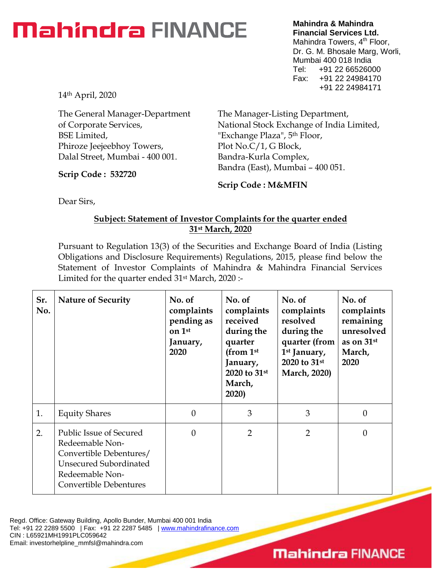## **Mahindra FINANCE**

**Mahindra & Mahindra Financial Services Ltd.** Mahindra Towers, 4<sup>th</sup> Floor, Dr. G. M. Bhosale Marg, Worli, Mumbai 400 018 India Tel: +91 22 66526000 Fax: +91 22 24984170 +91 22 24984171

14th April, 2020

The General Manager-Department of Corporate Services, BSE Limited, Phiroze Jeejeebhoy Towers, Dalal Street, Mumbai - 400 001.

**Scrip Code : 532720**

The Manager-Listing Department, National Stock Exchange of India Limited, "Exchange Plaza", 5th Floor, Plot No.C/1, G Block, Bandra-Kurla Complex, Bandra (East), Mumbai – 400 051.

**Scrip Code : M&MFIN**

Dear Sirs,

## **Subject: Statement of Investor Complaints for the quarter ended 31st March, 2020**

Pursuant to Regulation 13(3) of the Securities and Exchange Board of India (Listing Obligations and Disclosure Requirements) Regulations, 2015, please find below the Statement of Investor Complaints of Mahindra & Mahindra Financial Services Limited for the quarter ended 31st March, 2020 :-

| Sr.<br>No. | <b>Nature of Security</b>                                                                                                                           | No. of<br>complaints<br>pending as<br>on 1st<br>January,<br>2020 | No. of<br>complaints<br>received<br>during the<br>quarter<br>(from 1st<br>January,<br>2020 to 31st<br>March,<br>2020) | No. of<br>complaints<br>resolved<br>during the<br>quarter (from<br>1 <sup>st</sup> January,<br>2020 to 31st<br><b>March, 2020)</b> | No. of<br>complaints<br>remaining<br>unresolved<br>as on 31st<br>March,<br>2020 |
|------------|-----------------------------------------------------------------------------------------------------------------------------------------------------|------------------------------------------------------------------|-----------------------------------------------------------------------------------------------------------------------|------------------------------------------------------------------------------------------------------------------------------------|---------------------------------------------------------------------------------|
| 1.         | <b>Equity Shares</b>                                                                                                                                | $\theta$                                                         | 3                                                                                                                     | 3                                                                                                                                  | 0                                                                               |
| 2.         | Public Issue of Secured<br>Redeemable Non-<br>Convertible Debentures/<br><b>Unsecured Subordinated</b><br>Redeemable Non-<br>Convertible Debentures | $\Omega$                                                         | $\overline{2}$                                                                                                        | $\overline{2}$                                                                                                                     | 0                                                                               |

Regd. Office: Gateway Building, Apollo Bunder, Mumbai 400 001 India Tel: +91 22 2289 5500 | Fax: +91 22 2287 5485 | [www.mahindrafinance.com](http://www.mahindrafinance.com/) CIN : L65921MH1991PLC059642 Email: investorhelpline\_mmfsl@mahindra.com

## **Mahindra FINANCE**